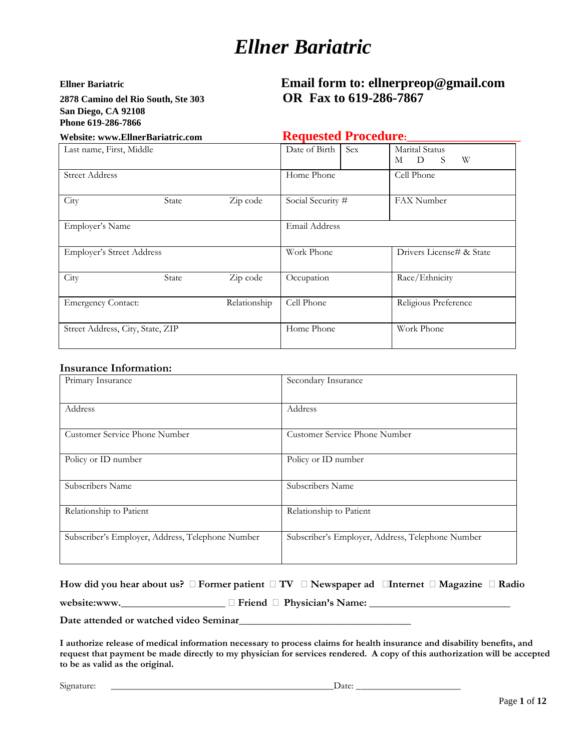**2878 Camino del Rio South, Ste 303 OR Fax to 619-286-7867 San Diego, CA 92108 Phone 619-286-7866** 

# **Ellner Bariatric Email form to: ellnerpreop@gmail.com**

Website: www.EllnerBariatric.com **Requested Procedure**:

| Last name, First, Middle         |       |              | Date of Birth<br>Sex | Marital Status<br>W<br>M D S |
|----------------------------------|-------|--------------|----------------------|------------------------------|
| <b>Street Address</b>            |       |              | Home Phone           | Cell Phone                   |
| City                             | State | Zip code     | Social Security #    | FAX Number                   |
| Employer's Name                  |       |              | Email Address        |                              |
| <b>Employer's Street Address</b> |       |              | Work Phone           | Drivers License# & State     |
| City                             | State | Zip code     | Occupation           | Race/Ethnicity               |
| <b>Emergency Contact:</b>        |       | Relationship | Cell Phone           | Religious Preference         |
| Street Address, City, State, ZIP |       |              | Home Phone           | Work Phone                   |

#### **Insurance Information:**

| Primary Insurance                                | Secondary Insurance                              |
|--------------------------------------------------|--------------------------------------------------|
| Address                                          | Address                                          |
| Customer Service Phone Number                    | Customer Service Phone Number                    |
| Policy or ID number                              | Policy or ID number                              |
| Subscribers Name                                 | Subscribers Name                                 |
| Relationship to Patient                          | Relationship to Patient                          |
| Subscriber's Employer, Address, Telephone Number | Subscriber's Employer, Address, Telephone Number |

| How did you hear about us? $\Box$ Former patient $\Box$ TV $\Box$ Newspaper ad $\Box$ Internet $\Box$ Magazine $\Box$ Radio |                                        |  |
|-----------------------------------------------------------------------------------------------------------------------------|----------------------------------------|--|
| website:www.                                                                                                                | $\Box$ Friend $\Box$ Physician's Name: |  |

**Date attended or watched video Seminar\_\_\_\_\_\_\_\_\_\_\_\_\_\_\_\_\_\_\_\_\_\_\_\_\_\_\_\_\_\_\_\_\_**

**I authorize release of medical information necessary to process claims for health insurance and disability benefits, and request that payment be made directly to my physician for services rendered. A copy of this authorization will be accepted to be as valid as the original.** 

Signature: \_\_\_\_\_\_\_\_\_\_\_\_\_\_\_\_\_\_\_\_\_\_\_\_\_\_\_\_\_\_\_\_\_\_\_\_\_\_\_\_\_\_\_\_\_\_\_Date: \_\_\_\_\_\_\_\_\_\_\_\_\_\_\_\_\_\_\_\_\_\_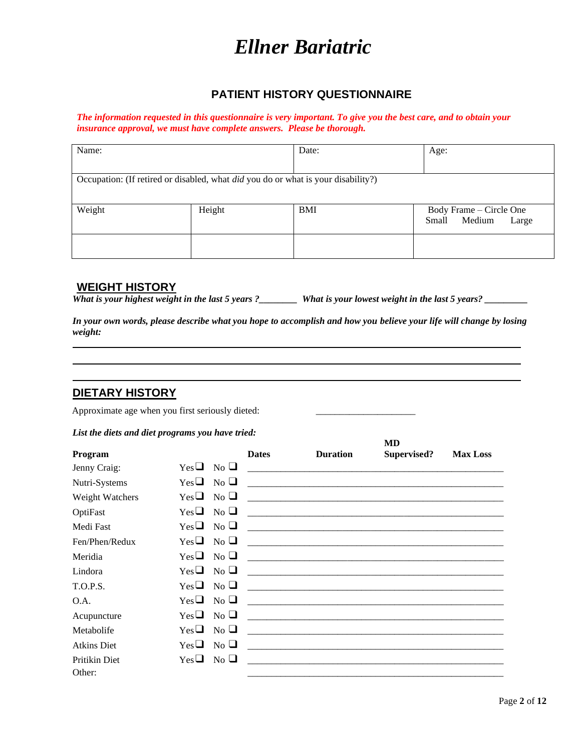#### **PATIENT HISTORY QUESTIONNAIRE**

*The information requested in this questionnaire is very important. To give you the best care, and to obtain your insurance approval, we must have complete answers. Please be thorough.* 

| Name:                                                                                    |        | Date:      | Age:                                                |
|------------------------------------------------------------------------------------------|--------|------------|-----------------------------------------------------|
| Occupation: (If retired or disabled, what <i>did</i> you do or what is your disability?) |        |            |                                                     |
| Weight                                                                                   | Height | <b>BMI</b> | Body Frame – Circle One<br>Medium<br>Small<br>Large |
|                                                                                          |        |            |                                                     |

#### **WEIGHT HISTORY**

*What is your highest weight in the last 5 years ?\_\_\_\_\_\_\_\_ What is your lowest weight in the last 5 years? \_\_\_\_\_\_\_\_\_*

*In your own words, please describe what you hope to accomplish and how you believe your life will change by losing weight:*

### **DIETARY HISTORY**

Approximate age when you first seriously dieted:

#### *List the diets and diet programs you have tried:*

|                    |                          |              |                                                                                                                       | <b>MD</b>   |                 |
|--------------------|--------------------------|--------------|-----------------------------------------------------------------------------------------------------------------------|-------------|-----------------|
| Program            |                          | <b>Dates</b> | <b>Duration</b>                                                                                                       | Supervised? | <b>Max Loss</b> |
| Jenny Craig:       | $Yes \sqcup$ No $\sqcup$ |              |                                                                                                                       |             |                 |
| Nutri-Systems      | $Yes \Box No \Box$       |              |                                                                                                                       |             |                 |
| Weight Watchers    | $Yes \Box No \Box$       |              |                                                                                                                       |             |                 |
| OptiFast           | $Yes \Box No \Box$       |              | <u> 1980 - Jan Barat, martxar amerikan bahasa dalam bahasa dalam bahasa dalam bahasa dalam bahasa dalam bahasa da</u> |             |                 |
| Medi Fast          | $Yes \Box No \Box$       |              |                                                                                                                       |             |                 |
| Fen/Phen/Redux     | $Yes \Box No \Box$       |              |                                                                                                                       |             |                 |
| Meridia            | $Yes \Box No \Box$       |              |                                                                                                                       |             |                 |
| Lindora            | $Yes \Box No \Box$       |              |                                                                                                                       |             |                 |
| T.O.P.S.           | $Yes \Box No \Box$       |              |                                                                                                                       |             |                 |
| O.A.               | $Yes \Box No \Box$       |              |                                                                                                                       |             |                 |
| Acupuncture        | $Yes \Box No \Box$       |              |                                                                                                                       |             |                 |
| Metabolife         | $Yes \Box No \Box$       |              |                                                                                                                       |             |                 |
| <b>Atkins Diet</b> | $Yes \Box No \Box$       |              |                                                                                                                       |             |                 |
| Pritikin Diet      | $Yes \Box No \Box$       |              | <u> 1980 - Jan James Alemania, martin da shekara 1980 - Andrea Alemania a Shekara a tsarin 1980 - Andrea Alemania</u> |             |                 |
| Other:             |                          |              |                                                                                                                       |             |                 |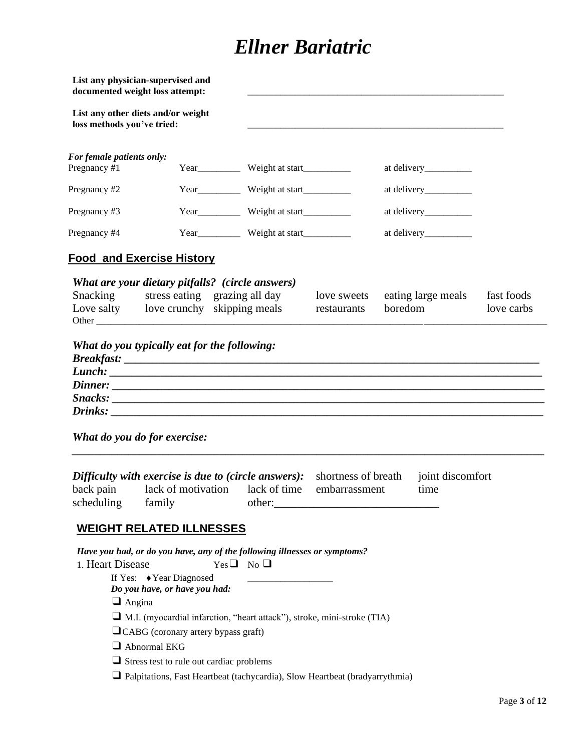|                                           | List any physician-supervised and<br>documented weight loss attempt:                                                                                                                                                                                                                                                                                                    |                                                |                                      |                               |                          |
|-------------------------------------------|-------------------------------------------------------------------------------------------------------------------------------------------------------------------------------------------------------------------------------------------------------------------------------------------------------------------------------------------------------------------------|------------------------------------------------|--------------------------------------|-------------------------------|--------------------------|
| loss methods you've tried:                | List any other diets and/or weight                                                                                                                                                                                                                                                                                                                                      |                                                |                                      |                               |                          |
| For female patients only:<br>Pregnancy #1 |                                                                                                                                                                                                                                                                                                                                                                         | Year_____________ Weight at start_____________ |                                      |                               |                          |
| Pregnancy #2                              |                                                                                                                                                                                                                                                                                                                                                                         | Year____________ Weight at start____________   |                                      |                               |                          |
| Pregnancy #3                              |                                                                                                                                                                                                                                                                                                                                                                         | Year___________ Weight at start____________    |                                      |                               |                          |
| Pregnancy #4                              |                                                                                                                                                                                                                                                                                                                                                                         | Year_____________ Weight at start_____________ |                                      |                               |                          |
|                                           | <u>Food and Exercise History</u>                                                                                                                                                                                                                                                                                                                                        |                                                |                                      |                               |                          |
| Snacking                                  | What are your dietary pitfalls? (circle answers)<br>stress eating grazing all day<br>Love salty love crunchy skipping meals                                                                                                                                                                                                                                             |                                                | love sweets<br>restaurants           | eating large meals<br>boredom | fast foods<br>love carbs |
|                                           | Snacks:<br>What do you do for exercise:                                                                                                                                                                                                                                                                                                                                 |                                                |                                      |                               |                          |
| back pain<br>scheduling                   | Difficulty with exercise is due to (circle answers):<br>lack of motivation lack of time<br>family                                                                                                                                                                                                                                                                       | other:                                         | shortness of breath<br>embarrassment | joint discomfort<br>time      |                          |
| 1. Heart Disease<br>$\Box$ Angina         | <b>WEIGHT RELATED ILLNESSES</b><br>Have you had, or do you have, any of the following illnesses or symptoms?<br>If Yes: ◆ Year Diagnosed<br>Do you have, or have you had:<br>IM.I. (myocardial infarction, "heart attack"), stroke, mini-stroke (TIA)<br><b>QCABG</b> (coronary artery bypass graft)<br>Abnormal EKG<br>$\Box$ Stress test to rule out cardiac problems | $Yes \Box No \Box$                             |                                      |                               |                          |
|                                           | $\Box$ Palpitations, Fast Heartbeat (tachycardia), Slow Heartbeat (bradyarrythmia)                                                                                                                                                                                                                                                                                      |                                                |                                      |                               |                          |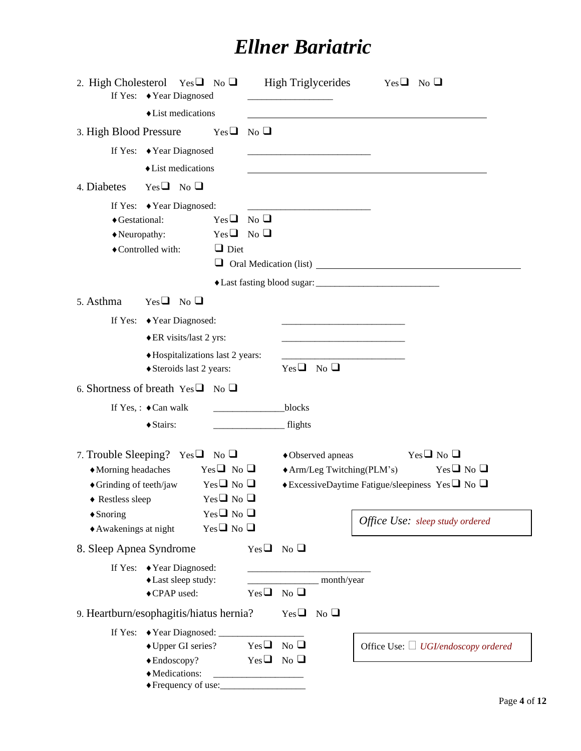|                                                                                                                                            | 2. High Cholesterol Yes $\Box$ No $\Box$<br>If Yes: ◆ Year Diagnosed                            |                                                                                                            | <b>High Triglycerides</b> |                                                                 | $Yes \Box No \Box$                                                                                                                                      |
|--------------------------------------------------------------------------------------------------------------------------------------------|-------------------------------------------------------------------------------------------------|------------------------------------------------------------------------------------------------------------|---------------------------|-----------------------------------------------------------------|---------------------------------------------------------------------------------------------------------------------------------------------------------|
|                                                                                                                                            | • List medications                                                                              |                                                                                                            |                           |                                                                 |                                                                                                                                                         |
| 3. High Blood Pressure                                                                                                                     |                                                                                                 | N <sub>0</sub><br>$Yes \square$                                                                            |                           |                                                                 |                                                                                                                                                         |
|                                                                                                                                            | If Yes: ◆ Year Diagnosed                                                                        |                                                                                                            |                           |                                                                 |                                                                                                                                                         |
|                                                                                                                                            | • List medications                                                                              |                                                                                                            |                           |                                                                 |                                                                                                                                                         |
| 4. Diabetes                                                                                                                                | $Yes \Box No \Box$                                                                              |                                                                                                            |                           |                                                                 |                                                                                                                                                         |
| ◆ Gestational:<br>Neuropathy:                                                                                                              | If Yes: ◆ Year Diagnosed:<br>◆ Controlled with:                                                 | N <sub>0</sub><br>$Yes \square$<br>$Yes \Box No \Box$<br>$\Box$ Diet                                       |                           |                                                                 |                                                                                                                                                         |
| 5. Asthma                                                                                                                                  | $Yes \Box No \Box$                                                                              |                                                                                                            |                           |                                                                 |                                                                                                                                                         |
|                                                                                                                                            | If Yes: ◆ Year Diagnosed:                                                                       |                                                                                                            |                           |                                                                 |                                                                                                                                                         |
|                                                                                                                                            | ◆ ER visits/last 2 yrs:                                                                         |                                                                                                            |                           | <u> 1980 - Johann Barn, mars an t-Amerikaansk kommunister (</u> |                                                                                                                                                         |
|                                                                                                                                            | ◆ Hospitalizations last 2 years:                                                                |                                                                                                            |                           |                                                                 |                                                                                                                                                         |
|                                                                                                                                            | ◆ Steroids last 2 years:                                                                        |                                                                                                            | $Yes \Box No \Box$        |                                                                 |                                                                                                                                                         |
|                                                                                                                                            | 6. Shortness of breath $Yes \Box No \Box$                                                       |                                                                                                            |                           |                                                                 |                                                                                                                                                         |
|                                                                                                                                            | If Yes, : $\triangleleft$ Can walk                                                              |                                                                                                            | blocks                    |                                                                 |                                                                                                                                                         |
|                                                                                                                                            | ◆ Stairs:                                                                                       |                                                                                                            | flights                   |                                                                 |                                                                                                                                                         |
| • Morning headaches<br>$\triangle$ Grinding of teeth/jaw<br>$\blacklozenge$ Restless sleep<br>$\triangle$ Snoring<br>◆ Awakenings at night | 7. Trouble Sleeping? Yes $\Box$ No $\Box$                                                       | $Yes \Box No \Box$<br>$Yes \Box No \Box$<br>$Yes \Box No \Box$<br>$Yes \Box No \Box$<br>$Yes \Box No \Box$ | ◆ Observed apneas         | $\triangle$ Arm/Leg Twitching(PLM's)                            | $Yes \Box No \Box$<br>$Yes \Box No \Box$<br>$\bullet$ ExcessiveDaytime Fatigue/sleepiness Yes $\square$ No $\square$<br>Office Use: sleep study ordered |
| 8. Sleep Apnea Syndrome                                                                                                                    |                                                                                                 |                                                                                                            | $Yes \Box No \Box$        |                                                                 |                                                                                                                                                         |
|                                                                                                                                            | If Yes: ◆ Year Diagnosed:<br>◆ Last sleep study:<br>◆ CPAP used:                                | $Yes \square$                                                                                              | N <sub>0</sub>            | month/year                                                      |                                                                                                                                                         |
|                                                                                                                                            | 9. Heartburn/esophagitis/hiatus hernia?                                                         |                                                                                                            | $Yes \Box No \Box$        |                                                                 |                                                                                                                                                         |
|                                                                                                                                            | If Yes: ◆ Year Diagnosed: _____<br>◆ Upper GI series?<br>$\triangle$ Endoscopy?<br>Medications: | $Yes \Box No \Box$                                                                                         | $Yes \Box No \Box$        |                                                                 | Office Use: □ UGI/endoscopy ordered                                                                                                                     |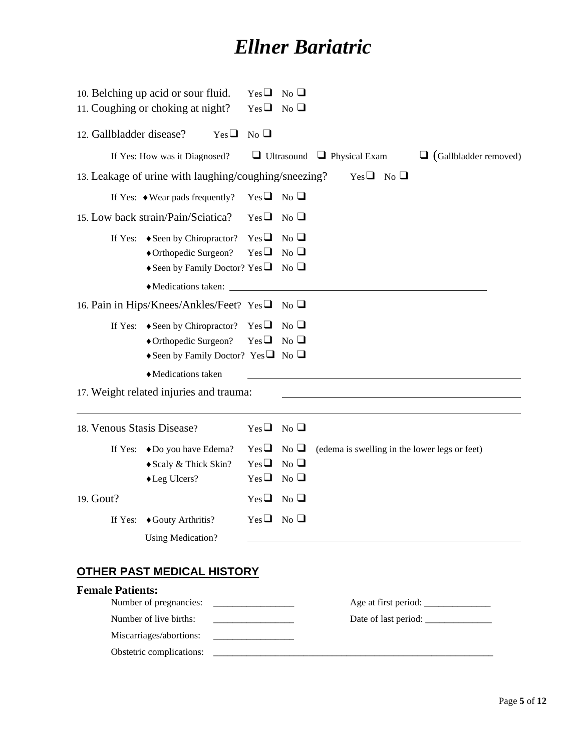|                            | 10. Belching up acid or sour fluid.<br>11. Coughing or choking at night?                                                                          | $Yes \square$<br>$Yes \Box No \Box$                                                                                                                                                                                                                                                | $\overline{N_0}$                            |                                               |                              |
|----------------------------|---------------------------------------------------------------------------------------------------------------------------------------------------|------------------------------------------------------------------------------------------------------------------------------------------------------------------------------------------------------------------------------------------------------------------------------------|---------------------------------------------|-----------------------------------------------|------------------------------|
| 12. Gallbladder disease?   | $Yes \square$                                                                                                                                     | N <sub>0</sub>                                                                                                                                                                                                                                                                     |                                             |                                               |                              |
|                            | If Yes: How was it Diagnosed?                                                                                                                     |                                                                                                                                                                                                                                                                                    |                                             | $\Box$ Ultrasound $\Box$ Physical Exam        | $\Box$ (Gallbladder removed) |
|                            | 13. Leakage of urine with laughing/coughing/sneezing?                                                                                             |                                                                                                                                                                                                                                                                                    |                                             | $Yes \Box No \Box$                            |                              |
|                            | If Yes: $\bullet$ Wear pads frequently?                                                                                                           | $Yes \Box No \Box$                                                                                                                                                                                                                                                                 |                                             |                                               |                              |
|                            | 15. Low back strain/Pain/Sciatica?                                                                                                                | $Yes \Box No \Box$                                                                                                                                                                                                                                                                 |                                             |                                               |                              |
|                            | If Yes: ◆ Seen by Chiropractor?<br>◆ Orthopedic Surgeon?<br>◆ Seen by Family Doctor? Yes $\Box$ No $\Box$<br>Medications taken:                   | $Yes \square$<br>$Yes \Box No \Box$                                                                                                                                                                                                                                                | No                                          |                                               |                              |
|                            | 16. Pain in Hips/Knees/Ankles/Feet? Yes□ No □                                                                                                     |                                                                                                                                                                                                                                                                                    |                                             |                                               |                              |
|                            | If Yes: $\bullet$ Seen by Chiropractor? Yes $\Box$<br>◆ Orthopedic Surgeon?<br>Seen by Family Doctor? Yes $\Box$ No $\Box$<br>◆ Medications taken | $Yes \Box$                                                                                                                                                                                                                                                                         | $\mathrm{No} \ \Box$<br>$\overline{N_0}$    |                                               |                              |
|                            | 17. Weight related injuries and trauma:                                                                                                           |                                                                                                                                                                                                                                                                                    |                                             |                                               |                              |
| 18. Venous Stasis Disease? |                                                                                                                                                   | $Yes \Box$                                                                                                                                                                                                                                                                         | $No$ $\Box$                                 |                                               |                              |
|                            | If Yes: ◆Do you have Edema?<br>◆ Scaly & Thick Skin?<br>◆ Leg Ulcers?                                                                             | $Yes \Box No \Box$<br>$Yes \square$<br>$Yes \Box$                                                                                                                                                                                                                                  | $\overline{N_{0}}$ $\Box$<br>N <sub>0</sub> | (edema is swelling in the lower legs or feet) |                              |
| 19. Gout?                  |                                                                                                                                                   | $Yes \Box$                                                                                                                                                                                                                                                                         | N <sub>0</sub>                              |                                               |                              |
|                            | If Yes: ◆ Gouty Arthritis?<br><b>Using Medication?</b>                                                                                            | $Yes \Box No \Box$                                                                                                                                                                                                                                                                 |                                             |                                               |                              |
|                            | <b>OTHER PAST MEDICAL HISTORY</b>                                                                                                                 |                                                                                                                                                                                                                                                                                    |                                             |                                               |                              |
| <b>Female Patients:</b>    | Number of pregnancies:<br>and the state of the state of the state of the state of the state of the                                                |                                                                                                                                                                                                                                                                                    |                                             |                                               |                              |
|                            | Number of live births:<br>Miscarriages/abortions:<br>Obstetric complications:                                                                     | <u> 1989 - Johann Barbara, martin da k</u><br><b>Contract Contract Contract Contract Contract Contract Contract Contract Contract Contract Contract Contract Contract Contract Contract Contract Contract Contract Contract Contract Contract Contract Contract Contract Contr</b> |                                             |                                               |                              |
|                            |                                                                                                                                                   |                                                                                                                                                                                                                                                                                    |                                             |                                               |                              |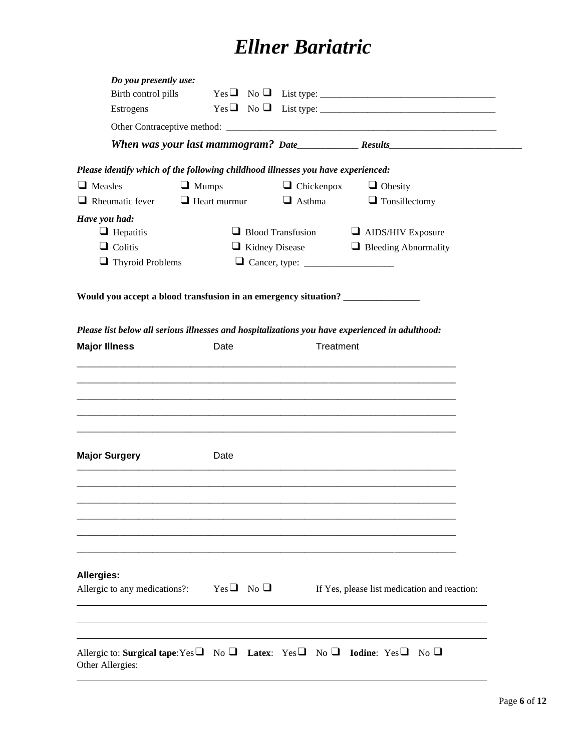| Do you presently use:                                                                                     |                     |                       |                                                                               |  |
|-----------------------------------------------------------------------------------------------------------|---------------------|-----------------------|-------------------------------------------------------------------------------|--|
| Birth control pills                                                                                       |                     |                       | $Yes \Box No \Box List type: \_\_$                                            |  |
| Estrogens                                                                                                 |                     |                       | $Yes \Box No \Box List type: \_\_ \_\_ \_\_ \_\_ \_\_ \_\_ \_\_ \_\_ \_\_ \_$ |  |
|                                                                                                           |                     |                       |                                                                               |  |
|                                                                                                           |                     |                       |                                                                               |  |
| Please identify which of the following childhood illnesses you have experienced:                          |                     |                       |                                                                               |  |
| $\Box$ Measles                                                                                            | $\Box$ Mumps        | $\Box$ Chickenpox     | $\Box$ Obesity                                                                |  |
| $\Box$ Rheumatic fever                                                                                    | $\Box$ Heart murmur | $\Box$ Asthma         | $\Box$ Tonsillectomy                                                          |  |
| Have you had:                                                                                             |                     |                       |                                                                               |  |
| $\Box$ Hepatitis                                                                                          |                     |                       | $\Box$ Blood Transfusion $\Box$ AIDS/HIV Exposure                             |  |
| $\Box$ Colitis                                                                                            |                     | $\Box$ Kidney Disease | $\Box$ Bleeding Abnormality                                                   |  |
| $\Box$ Thyroid Problems                                                                                   |                     |                       |                                                                               |  |
|                                                                                                           |                     |                       |                                                                               |  |
| Would you accept a blood transfusion in an emergency situation? ________________                          |                     |                       |                                                                               |  |
| Please list below all serious illnesses and hospitalizations you have experienced in adulthood:           |                     |                       |                                                                               |  |
| <b>Major Illness</b>                                                                                      | Date                | Treatment             |                                                                               |  |
|                                                                                                           |                     |                       |                                                                               |  |
|                                                                                                           |                     |                       |                                                                               |  |
|                                                                                                           |                     |                       |                                                                               |  |
|                                                                                                           |                     |                       |                                                                               |  |
|                                                                                                           |                     |                       |                                                                               |  |
|                                                                                                           |                     |                       |                                                                               |  |
|                                                                                                           |                     |                       |                                                                               |  |
| <b>Major Surgery</b>                                                                                      | Date                |                       |                                                                               |  |
|                                                                                                           |                     |                       |                                                                               |  |
|                                                                                                           |                     |                       |                                                                               |  |
|                                                                                                           |                     |                       |                                                                               |  |
|                                                                                                           |                     |                       |                                                                               |  |
|                                                                                                           |                     |                       |                                                                               |  |
|                                                                                                           |                     |                       |                                                                               |  |
|                                                                                                           |                     |                       |                                                                               |  |
| Allergies:                                                                                                |                     |                       |                                                                               |  |
| Allergic to any medications?: Yes $\Box$ No $\Box$                                                        |                     |                       | If Yes, please list medication and reaction:                                  |  |
|                                                                                                           |                     |                       |                                                                               |  |
|                                                                                                           |                     |                       |                                                                               |  |
|                                                                                                           |                     |                       |                                                                               |  |
| Allergic to: Surgical tape: Yes $\Box$ No $\Box$ Latex: Yes $\Box$ No $\Box$ Iodine: Yes $\Box$ No $\Box$ |                     |                       |                                                                               |  |
| Other Allergies:                                                                                          |                     |                       |                                                                               |  |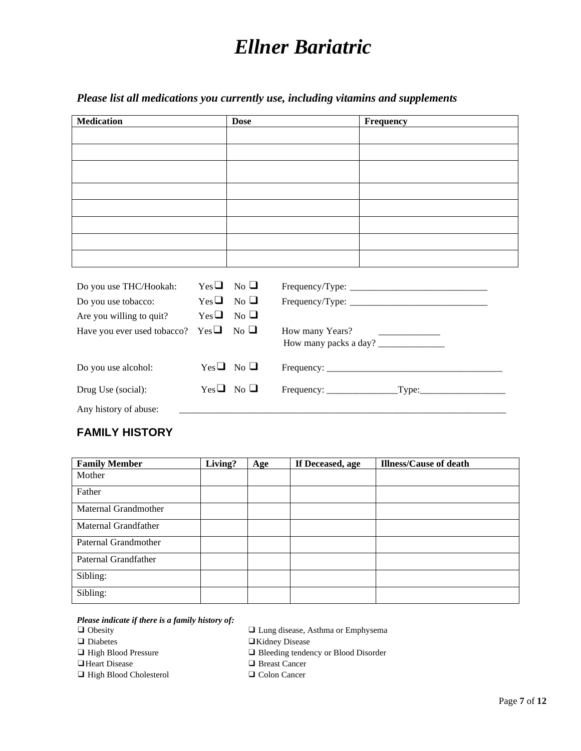### *Please list all medications you currently use, including vitamins and supplements*

| Medication | <b>Dose</b> | Frequency |
|------------|-------------|-----------|
|            |             |           |
|            |             |           |
|            |             |           |
|            |             |           |
|            |             |           |
|            |             |           |
|            |             |           |
|            |             |           |

| Do you use THC/Hookah:                           | $Yes \Box No \Box$ |                    |                                                                     |
|--------------------------------------------------|--------------------|--------------------|---------------------------------------------------------------------|
| Do you use tobacco:                              | $Yes \Box No \Box$ |                    |                                                                     |
| Are you willing to quit?                         | $Yes \Box No \Box$ |                    |                                                                     |
| Have you ever used tobacco? Yes $\Box$ No $\Box$ |                    |                    | How many Years?<br><u> 1989 - Jan Alexandro Alexandro III e ale</u> |
|                                                  |                    |                    | How many packs a day?                                               |
| Do you use alcohol:                              |                    | $Yes \Box No \Box$ |                                                                     |
| Drug Use (social):                               |                    | $Yes \Box No \Box$ |                                                                     |
| Any history of abuse:                            |                    |                    |                                                                     |

### **FAMILY HISTORY**

| <b>Family Member</b> | Living? | <b>Age</b> | If Deceased, age | <b>Illness/Cause of death</b> |
|----------------------|---------|------------|------------------|-------------------------------|
| Mother               |         |            |                  |                               |
| Father               |         |            |                  |                               |
| Maternal Grandmother |         |            |                  |                               |
| Maternal Grandfather |         |            |                  |                               |
| Paternal Grandmother |         |            |                  |                               |
| Paternal Grandfather |         |            |                  |                               |
| Sibling:             |         |            |                  |                               |
| Sibling:             |         |            |                  |                               |

#### *Please indicate if there is a family history of:*

- 
- 
- 
- 
- ❑ High Blood Cholesterol ❑ Colon Cancer
- ❑ Obesity ❑ Lung disease, Asthma or Emphysema
- ❑ Diabetes ❑Kidney Disease
- ❑ High Blood Pressure ❑ Bleeding tendency or Blood Disorder
- ❑Heart Disease ❑ Breast Cancer
	-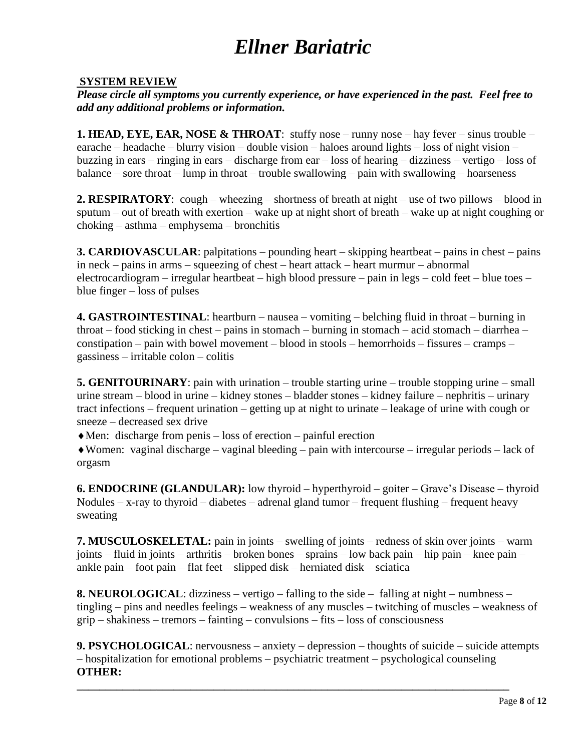### **SYSTEM REVIEW**

*Please circle all symptoms you currently experience, or have experienced in the past. Feel free to add any additional problems or information.* 

**1. HEAD, EYE, EAR, NOSE & THROAT**: stuffy nose – runny nose – hay fever – sinus trouble – earache – headache – blurry vision – double vision – haloes around lights – loss of night vision – buzzing in ears – ringing in ears – discharge from ear – loss of hearing – dizziness – vertigo – loss of balance – sore throat – lump in throat – trouble swallowing – pain with swallowing – hoarseness

**2. RESPIRATORY**: cough – wheezing – shortness of breath at night – use of two pillows – blood in sputum – out of breath with exertion – wake up at night short of breath – wake up at night coughing or choking – asthma – emphysema – bronchitis

**3. CARDIOVASCULAR**: palpitations – pounding heart – skipping heartbeat – pains in chest – pains in neck – pains in arms – squeezing of chest – heart attack – heart murmur – abnormal electrocardiogram – irregular heartbeat – high blood pressure – pain in legs – cold feet – blue toes – blue finger – loss of pulses

**4. GASTROINTESTINAL**: heartburn – nausea – vomiting – belching fluid in throat – burning in throat – food sticking in chest – pains in stomach – burning in stomach – acid stomach – diarrhea – constipation – pain with bowel movement – blood in stools – hemorrhoids – fissures – cramps – gassiness – irritable colon – colitis

**5. GENITOURINARY**: pain with urination – trouble starting urine – trouble stopping urine – small urine stream – blood in urine – kidney stones – bladder stones – kidney failure – nephritis – urinary tract infections – frequent urination – getting up at night to urinate – leakage of urine with cough or sneeze – decreased sex drive

 $\blacklozenge$  Men: discharge from penis – loss of erection – painful erection

Women: vaginal discharge – vaginal bleeding – pain with intercourse – irregular periods – lack of orgasm

**6. ENDOCRINE (GLANDULAR):** low thyroid – hyperthyroid – goiter – Grave's Disease – thyroid Nodules – x-ray to thyroid – diabetes – adrenal gland tumor – frequent flushing – frequent heavy sweating

**7. MUSCULOSKELETAL:** pain in joints – swelling of joints – redness of skin over joints – warm joints – fluid in joints – arthritis – broken bones – sprains – low back pain – hip pain – knee pain – ankle pain – foot pain – flat feet – slipped disk – herniated disk – sciatica

**8. NEUROLOGICAL**: dizziness – vertigo – falling to the side – falling at night – numbness – tingling – pins and needles feelings – weakness of any muscles – twitching of muscles – weakness of grip – shakiness – tremors – fainting – convulsions – fits – loss of consciousness

**9. PSYCHOLOGICAL**: nervousness – anxiety – depression – thoughts of suicide – suicide attempts – hospitalization for emotional problems – psychiatric treatment – psychological counseling **OTHER:** 

**\_\_\_\_\_\_\_\_\_\_\_\_\_\_\_\_\_\_\_\_\_\_\_\_\_\_\_\_\_\_\_\_\_\_\_\_\_\_\_\_\_\_\_\_\_\_\_\_\_\_\_\_\_\_\_\_\_\_\_\_\_\_\_\_\_\_\_\_\_\_\_\_\_\_\_\_**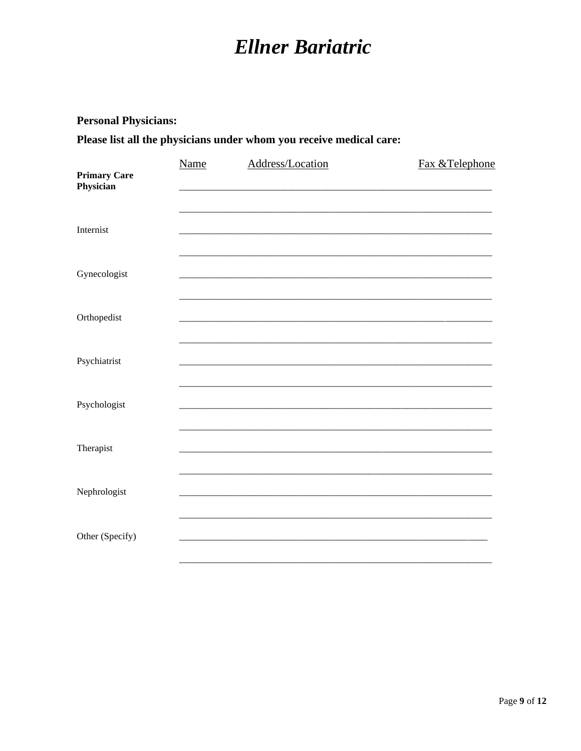### **Personal Physicians:**

Please list all the physicians under whom you receive medical care:

| <b>Primary Care</b><br>Physician | <b>Name</b> | Address/Location | Fax &Telephone |
|----------------------------------|-------------|------------------|----------------|
| Internist                        |             |                  |                |
| Gynecologist                     |             |                  |                |
| Orthopedist                      |             |                  |                |
| Psychiatrist                     |             |                  |                |
| Psychologist                     |             |                  |                |
| Therapist                        |             |                  |                |
| Nephrologist                     |             |                  |                |
| Other (Specify)                  |             |                  |                |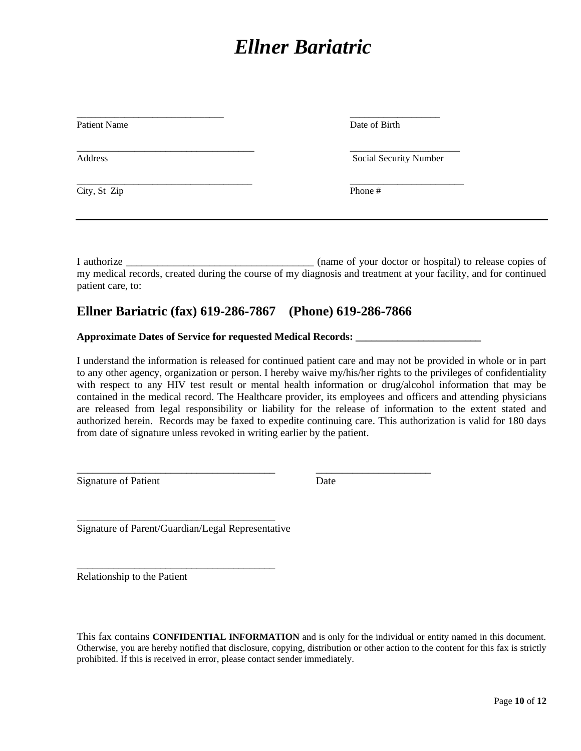| <b>Patient Name</b> | Date of Birth          |
|---------------------|------------------------|
| Address             | Social Security Number |
| City, St Zip        | Phone #                |

I authorize \_\_\_\_\_\_\_\_\_\_\_\_\_\_\_\_\_\_\_\_\_\_\_\_\_\_\_\_\_\_\_\_\_\_\_\_ (name of your doctor or hospital) to release copies of my medical records, created during the course of my diagnosis and treatment at your facility, and for continued patient care, to:

### **Ellner Bariatric (fax) 619-286-7867 (Phone) 619-286-7866**

\_\_\_\_\_\_\_\_\_\_\_\_\_\_\_\_\_\_\_\_\_\_\_\_\_\_\_\_\_\_\_\_\_\_\_\_\_\_ \_\_\_\_\_\_\_\_\_\_\_\_\_\_\_\_\_\_\_\_\_\_

**Approximate Dates of Service for requested Medical Records: \_\_\_\_\_\_\_\_\_\_\_\_\_\_\_\_\_\_\_\_\_\_\_\_**

I understand the information is released for continued patient care and may not be provided in whole or in part to any other agency, organization or person. I hereby waive my/his/her rights to the privileges of confidentiality with respect to any HIV test result or mental health information or drug/alcohol information that may be contained in the medical record. The Healthcare provider, its employees and officers and attending physicians are released from legal responsibility or liability for the release of information to the extent stated and authorized herein. Records may be faxed to expedite continuing care. This authorization is valid for 180 days from date of signature unless revoked in writing earlier by the patient.

Signature of Patient Date

\_\_\_\_\_\_\_\_\_\_\_\_\_\_\_\_\_\_\_\_\_\_\_\_\_\_\_\_\_\_\_\_\_\_\_\_\_\_ Signature of Parent/Guardian/Legal Representative

\_\_\_\_\_\_\_\_\_\_\_\_\_\_\_\_\_\_\_\_\_\_\_\_\_\_\_\_\_\_\_\_\_\_\_\_\_\_

Relationship to the Patient

This fax contains **CONFIDENTIAL INFORMATION** and is only for the individual or entity named in this document. Otherwise, you are hereby notified that disclosure, copying, distribution or other action to the content for this fax is strictly prohibited. If this is received in error, please contact sender immediately.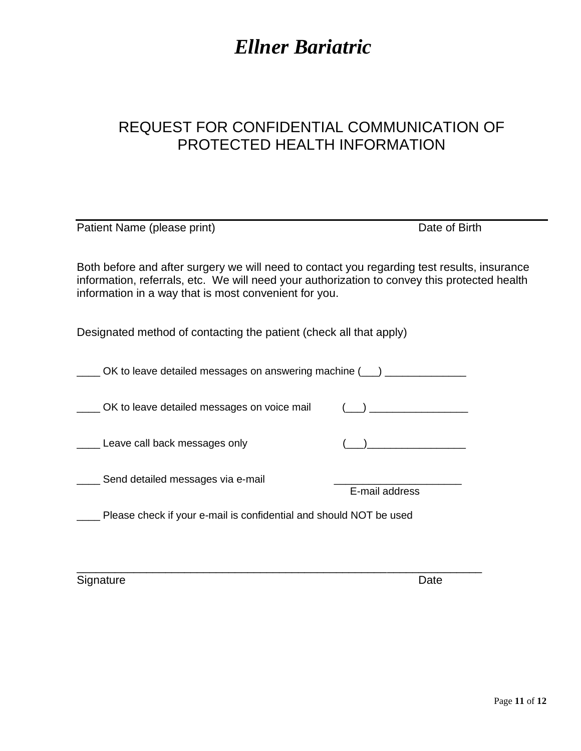### REQUEST FOR CONFIDENTIAL COMMUNICATION OF PROTECTED HEALTH INFORMATION

| Patient Name (please print)                                                                                                                                                                                                                          | Date of Birth                                                                                                                                                                                                                                                      |  |  |  |
|------------------------------------------------------------------------------------------------------------------------------------------------------------------------------------------------------------------------------------------------------|--------------------------------------------------------------------------------------------------------------------------------------------------------------------------------------------------------------------------------------------------------------------|--|--|--|
| Both before and after surgery we will need to contact you regarding test results, insurance<br>information, referrals, etc. We will need your authorization to convey this protected health<br>information in a way that is most convenient for you. |                                                                                                                                                                                                                                                                    |  |  |  |
| Designated method of contacting the patient (check all that apply)                                                                                                                                                                                   |                                                                                                                                                                                                                                                                    |  |  |  |
| OK to leave detailed messages on answering machine (1) ______________                                                                                                                                                                                |                                                                                                                                                                                                                                                                    |  |  |  |
| OK to leave detailed messages on voice mail                                                                                                                                                                                                          | $\left(\begin{array}{ccc} \text{ } & \text{ } \end{array}\right)$ , and the set of the set of the set of the set of the set of the set of the set of the set of the set of the set of the set of the set of the set of the set of the set of the set of the set of |  |  |  |
| ____ Leave call back messages only                                                                                                                                                                                                                   |                                                                                                                                                                                                                                                                    |  |  |  |
| Send detailed messages via e-mail                                                                                                                                                                                                                    | E-mail address                                                                                                                                                                                                                                                     |  |  |  |
| Please check if your e-mail is confidential and should NOT be used                                                                                                                                                                                   |                                                                                                                                                                                                                                                                    |  |  |  |
|                                                                                                                                                                                                                                                      |                                                                                                                                                                                                                                                                    |  |  |  |

\_\_\_\_\_\_\_\_\_\_\_\_\_\_\_\_\_\_\_\_\_\_\_\_\_\_\_\_\_\_\_\_\_\_\_\_\_\_\_\_\_\_\_\_\_\_\_\_\_\_\_\_\_\_\_\_\_\_\_\_\_\_\_\_

Signature Date